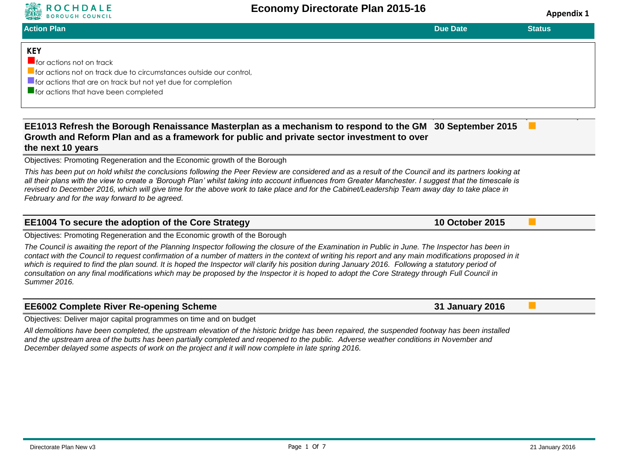

**ROCHDALE**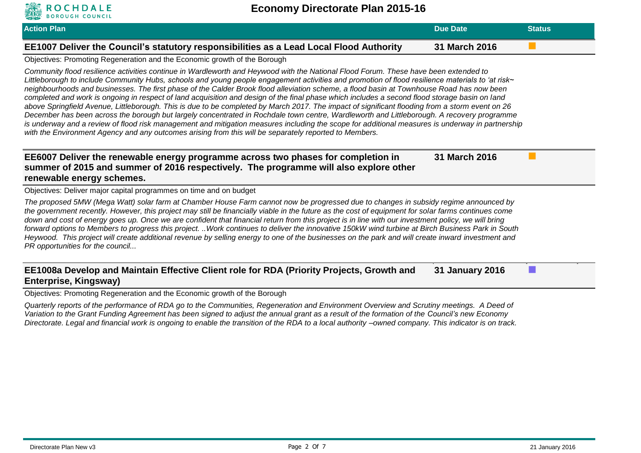| <b>Action Plan</b>                                                                                                                                                                                                                                                                                                                                                                                                                                                                                                                                                                                                                                                                                                                                                                                                                                                                                                                                                                                                                                                                                                                                     | <b>Due Date</b>        | <b>Status</b> |
|--------------------------------------------------------------------------------------------------------------------------------------------------------------------------------------------------------------------------------------------------------------------------------------------------------------------------------------------------------------------------------------------------------------------------------------------------------------------------------------------------------------------------------------------------------------------------------------------------------------------------------------------------------------------------------------------------------------------------------------------------------------------------------------------------------------------------------------------------------------------------------------------------------------------------------------------------------------------------------------------------------------------------------------------------------------------------------------------------------------------------------------------------------|------------------------|---------------|
| EE1007 Deliver the Council's statutory responsibilities as a Lead Local Flood Authority                                                                                                                                                                                                                                                                                                                                                                                                                                                                                                                                                                                                                                                                                                                                                                                                                                                                                                                                                                                                                                                                | 31 March 2016          |               |
| Objectives: Promoting Regeneration and the Economic growth of the Borough                                                                                                                                                                                                                                                                                                                                                                                                                                                                                                                                                                                                                                                                                                                                                                                                                                                                                                                                                                                                                                                                              |                        |               |
| Community flood resilience activities continue in Wardleworth and Heywood with the National Flood Forum. These have been extended to<br>Littleborough to include Community Hubs, schools and young people engagement activities and promotion of flood resilience materials to 'at risk~<br>neighbourhoods and businesses. The first phase of the Calder Brook flood alleviation scheme, a flood basin at Townhouse Road has now been<br>completed and work is ongoing in respect of land acquisition and design of the final phase which includes a second flood storage basin on land<br>above Springfield Avenue, Littleborough. This is due to be completed by March 2017. The impact of significant flooding from a storm event on 26<br>December has been across the borough but largely concentrated in Rochdale town centre, Wardleworth and Littleborough. A recovery programme<br>is underway and a review of flood risk management and mitigation measures including the scope for additional measures is underway in partnership<br>with the Environment Agency and any outcomes arising from this will be separately reported to Members. |                        |               |
| EE6007 Deliver the renewable energy programme across two phases for completion in<br>summer of 2015 and summer of 2016 respectively. The programme will also explore other<br>renewable energy schemes.<br>Objectives: Deliver major capital programmes on time and on budget                                                                                                                                                                                                                                                                                                                                                                                                                                                                                                                                                                                                                                                                                                                                                                                                                                                                          | 31 March 2016          |               |
| The proposed 5MW (Mega Watt) solar farm at Chamber House Farm cannot now be progressed due to changes in subsidy regime announced by<br>the government recently. However, this project may still be financially viable in the future as the cost of equipment for solar farms continues come                                                                                                                                                                                                                                                                                                                                                                                                                                                                                                                                                                                                                                                                                                                                                                                                                                                           |                        |               |
| down and cost of energy goes up. Once we are confident that financial return from this project is in line with our investment policy, we will bring<br>forward options to Members to progress this project. Work continues to deliver the innovative 150kW wind turbine at Birch Business Park in South<br>Heywood. This project will create additional revenue by selling energy to one of the businesses on the park and will create inward investment and<br>PR opportunities for the council                                                                                                                                                                                                                                                                                                                                                                                                                                                                                                                                                                                                                                                       |                        |               |
| EE1008a Develop and Maintain Effective Client role for RDA (Priority Projects, Growth and<br>Enterprise, Kingsway)                                                                                                                                                                                                                                                                                                                                                                                                                                                                                                                                                                                                                                                                                                                                                                                                                                                                                                                                                                                                                                     | <b>31 January 2016</b> |               |

*Quarterly reports of the performance of RDA go to the Communities, Regeneration and Environment Overview and Scrutiny meetings. A Deed of Variation to the Grant Funding Agreement has been signed to adjust the annual grant as a result of the formation of the Council's new Economy Directorate. Legal and financial work is ongoing to enable the transition of the RDA to a local authority –owned company. This indicator is on track.*

ROCHDALE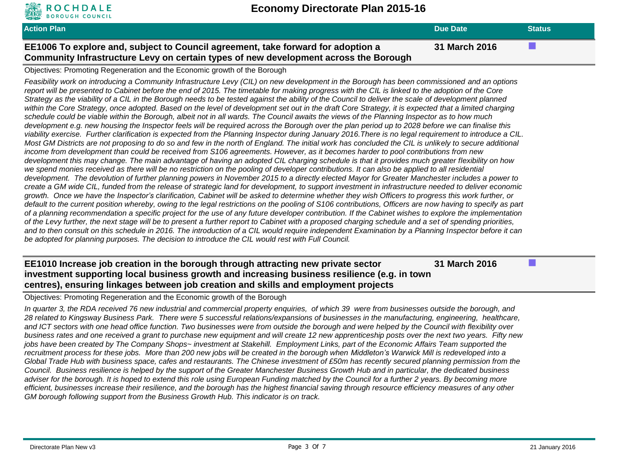

| <b>Action Plan</b>                                                                                                                                                       | Due Date      | <b>Status</b> |
|--------------------------------------------------------------------------------------------------------------------------------------------------------------------------|---------------|---------------|
| EE1006 To explore and, subject to Council agreement, take forward for adoption a<br>Community Infrastructure Levy on certain types of new development across the Borough | 31 March 2016 |               |

#### Objectives: Promoting Regeneration and the Economic growth of the Borough

*Feasibility work on introducing a Community Infrastructure Levy (CIL) on new development in the Borough has been commissioned and an options report will be presented to Cabinet before the end of 2015. The timetable for making progress with the CIL is linked to the adoption of the Core Strategy as the viability of a CIL in the Borough needs to be tested against the ability of the Council to deliver the scale of development planned within the Core Strategy, once adopted. Based on the level of development set out in the draft Core Strategy, it is expected that a limited charging schedule could be viable within the Borough, albeit not in all wards. The Council awaits the views of the Planning Inspector as to how much development e.g. new housing the Inspector feels will be required across the Borough over the plan period up to 2028 before we can finalise this viability exercise. Further clarification is expected from the Planning Inspector during January 2016.There is no legal requirement to introduce a CIL. Most GM Districts are not proposing to do so and few in the north of England. The initial work has concluded the CIL is unlikely to secure additional income from development than could be received from S106 agreements. However, as it becomes harder to pool contributions from new development this may change. The main advantage of having an adopted CIL charging schedule is that it provides much greater flexibility on how we spend monies received as there will be no restriction on the pooling of developer contributions. It can also be applied to all residential development. The devolution of further planning powers in November 2015 to a directly elected Mayor for Greater Manchester includes a power to create a GM wide CIL, funded from the release of strategic land for development, to support investment in infrastructure needed to deliver economic growth. Once we have the Inspector's clarification, Cabinet will be asked to determine whether they wish Officers to progress this work further, or default to the current position whereby, owing to the legal restrictions on the pooling of S106 contributions, Officers are now having to specify as part of a planning recommendation a specific project for the use of any future developer contribution. If the Cabinet wishes to explore the implementation of the Levy further, the next stage will be to present a further report to Cabinet with a proposed charging schedule and a set of spending priorities,*  and to then consult on this schedule in 2016. The introduction of a CIL would require independent Examination by a Planning Inspector before it can *be adopted for planning purposes. The decision to introduce the CIL would rest with Full Council.*

#### **EE1010 Increase job creation in the borough through attracting new private sector investment supporting local business growth and increasing business resilience (e.g. in town centres), ensuring linkages between job creation and skills and employment projects 31 March 2016**

Objectives: Promoting Regeneration and the Economic growth of the Borough

*In quarter 3, the RDA received 76 new industrial and commercial property enquiries, of which 39 were from businesses outside the borough, and 28 related to Kingsway Business Park. There were 5 successful relations/expansions of businesses in the manufacturing, engineering, healthcare, and ICT sectors with one head office function. Two businesses were from outside the borough and were helped by the Council with flexibility over business rates and one received a grant to purchase new equipment and will create 12 new apprenticeship posts over the next two years. Fifty new jobs have been created by The Company Shops~ investment at Stakehill. Employment Links, part of the Economic Affairs Team supported the recruitment process for these jobs. More than 200 new jobs will be created in the borough when Middleton's Warwick Mill is redeveloped into a Global Trade Hub with business space, cafes and restaurants. The Chinese investment of £50m has recently secured planning permission from the Council. Business resilience is helped by the support of the Greater Manchester Business Growth Hub and in particular, the dedicated business adviser for the borough. It is hoped to extend this role using European Funding matched by the Council for a further 2 years. By becoming more efficient, businesses increase their resilience, and the borough has the highest financial saving through resource efficiency measures of any other GM borough following support from the Business Growth Hub. This indicator is on track.*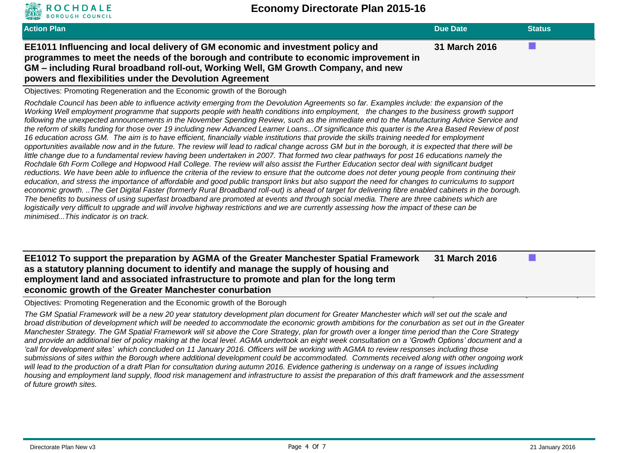| <b>Action Plan</b>                                                                                                                                                                                                                                                                                                      | Due Date      | <b>Status</b> |
|-------------------------------------------------------------------------------------------------------------------------------------------------------------------------------------------------------------------------------------------------------------------------------------------------------------------------|---------------|---------------|
| EE1011 Influencing and local delivery of GM economic and investment policy and<br>programmes to meet the needs of the borough and contribute to economic improvement in<br>GM – including Rural broadband roll-out, Working Well, GM Growth Company, and new<br>powers and flexibilities under the Devolution Agreement | 31 March 2016 |               |

Objectives: Promoting Regeneration and the Economic growth of the Borough

OCHDALE

*Rochdale Council has been able to influence activity emerging from the Devolution Agreements so far. Examples include: the expansion of the Working Well employment programme that supports people with health conditions into employment, the changes to the business growth support following the unexpected announcements in the November Spending Review, such as the immediate end to the Manufacturing Advice Service and the reform of skills funding for those over 19 including new Advanced Learner Loans...Of significance this quarter is the Area Based Review of post 16 education across GM. The aim is to have efficient, financially viable institutions that provide the skills training needed for employment opportunities available now and in the future. The review will lead to radical change across GM but in the borough, it is expected that there will be*  little change due to a fundamental review having been undertaken in 2007. That formed two clear pathways for post 16 educations namely the *Rochdale 6th Form College and Hopwood Hall College. The review will also assist the Further Education sector deal with significant budget reductions. We have been able to influence the criteria of the review to ensure that the outcome does not deter young people from continuing their education, and stress the importance of affordable and good public transport links but also support the need for changes to curriculums to support economic growth. ..The Get Digital Faster (formerly Rural Broadband roll-out) is ahead of target for delivering fibre enabled cabinets in the borough. The benefits to business of using superfast broadband are promoted at events and through social media. There are three cabinets which are logistically very difficult to upgrade and will involve highway restrictions and we are currently assessing how the impact of these can be minimised...This indicator is on track.*

**EE1012 To support the preparation by AGMA of the Greater Manchester Spatial Framework as a statutory planning document to identify and manage the supply of housing and employment land and associated infrastructure to promote and plan for the long term economic growth of the Greater Manchester conurbation 31 March 2016**

Objectives: Promoting Regeneration and the Economic growth of the Borough

*The GM Spatial Framework will be a new 20 year statutory development plan document for Greater Manchester which will set out the scale and broad distribution of development which will be needed to accommodate the economic growth ambitions for the conurbation as set out in the Greater Manchester Strategy. The GM Spatial Framework will sit above the Core Strategy, plan for growth over a longer time period than the Core Strategy and provide an additional tier of policy making at the local level. AGMA undertook an eight week consultation on a 'Growth Options' document and a 'call for development sites' which concluded on 11 January 2016. Officers will be working with AGMA to review responses including those submissions of sites within the Borough where additional development could be accommodated. Comments received along with other ongoing work will lead to the production of a draft Plan for consultation during autumn 2016. Evidence gathering is underway on a range of issues including housing and employment land supply, flood risk management and infrastructure to assist the preparation of this draft framework and the assessment of future growth sites.*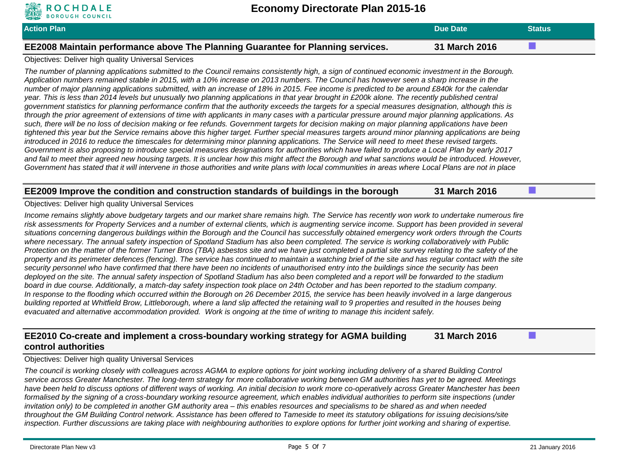| <b>Action Plan</b>                                                              | Due Date      | <b>Status</b> |
|---------------------------------------------------------------------------------|---------------|---------------|
| EE2008 Maintain performance above The Planning Guarantee for Planning services. | 31 March 2016 |               |

#### Objectives: Deliver high quality Universal Services

**ROCHDALE** 

*The number of planning applications submitted to the Council remains consistently high, a sign of continued economic investment in the Borough. Application numbers remained stable in 2015, with a 10% increase on 2013 numbers. The Council has however seen a sharp increase in the number of major planning applications submitted, with an increase of 18% in 2015. Fee income is predicted to be around £840k for the calendar year. This is less than 2014 levels but unusually two planning applications in that year brought in £200k alone. The recently published central government statistics for planning performance confirm that the authority exceeds the targets for a special measures designation, although this is through the prior agreement of extensions of time with applicants in many cases with a particular pressure around major planning applications. As such, there will be no loss of decision making or fee refunds. Government targets for decision making on major planning applications have been tightened this year but the Service remains above this higher target. Further special measures targets around minor planning applications are being*  introduced in 2016 to reduce the timescales for determining minor planning applications. The Service will need to meet these revised targets. *Government is also proposing to introduce special measures designations for authorities which have failed to produce a Local Plan by early 2017*  and fail to meet their agreed new housing targets. It is unclear how this might affect the Borough and what sanctions would be introduced. However, *Government has stated that it will intervene in those authorities and write plans with local communities in areas where Local Plans are not in place*

### **EE2009 Improve the condition and construction standards of buildings in the borough 31 March 2016**

#### Objectives: Deliver high quality Universal Services

*Income remains slightly above budgetary targets and our market share remains high. The Service has recently won work to undertake numerous fire risk assessments for Property Services and a number of external clients, which is augmenting service income. Support has been provided in several situations concerning dangerous buildings within the Borough and the Council has successfully obtained emergency work orders through the Courts where necessary. The annual safety inspection of Spotland Stadium has also been completed. The service is working collaboratively with Public Protection on the matter of the former Turner Bros (TBA) asbestos site and we have just completed a partial site survey relating to the safety of the*  property and its perimeter defences (fencing). The service has continued to maintain a watching brief of the site and has regular contact with the site *security personnel who have confirmed that there have been no incidents of unauthorised entry into the buildings since the security has been deployed on the site. The annual safety inspection of Spotland Stadium has also been completed and a report will be forwarded to the stadium board in due course. Additionally, a match-day safety inspection took place on 24th October and has been reported to the stadium company. In response to the flooding which occurred within the Borough on 26 December 2015, the service has been heavily involved in a large dangerous building reported at Whitfield Brow, Littleborough, where a land slip affected the retaining wall to 9 properties and resulted in the houses being evacuated and alternative accommodation provided. Work is ongoing at the time of writing to manage this incident safely.* 

#### **EE2010 Co-create and implement a cross-boundary working strategy for AGMA building control authorities 31 March 2016**

Objectives: Deliver high quality Universal Services

*The council is working closely with colleagues across AGMA to explore options for joint working including delivery of a shared Building Control service across Greater Manchester. The long-term strategy for more collaborative working between GM authorities has yet to be agreed. Meetings have been held to discuss options of different ways of working. An initial decision to work more co-operatively across Greater Manchester has been formalised by the signing of a cross-boundary working resource agreement, which enables individual authorities to perform site inspections (under invitation only) to be completed in another GM authority area – this enables resources and specialisms to be shared as and when needed throughout the GM Building Control network. Assistance has been offered to Tameside to meet its statutory obligations for issuing decisions/site inspection. Further discussions are taking place with neighbouring authorities to explore options for further joint working and sharing of expertise.*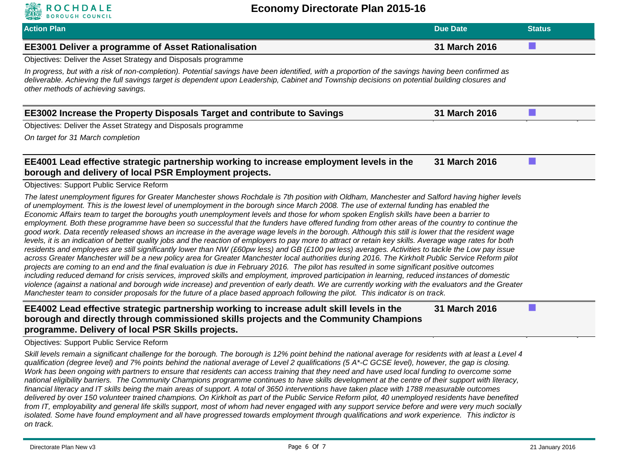| <b>Action Plan</b>                                                                                                                                                                                                                                                                                                                                                                                                                                                                                                                                                                                                                                                                                                                                                                                                                                                                                                                                                                                                                                                                                                                                                                                                                                                                                                                                                                                                                                                                                                                                                                                                                                            | <b>Due Date</b> | <b>Status</b>   |
|---------------------------------------------------------------------------------------------------------------------------------------------------------------------------------------------------------------------------------------------------------------------------------------------------------------------------------------------------------------------------------------------------------------------------------------------------------------------------------------------------------------------------------------------------------------------------------------------------------------------------------------------------------------------------------------------------------------------------------------------------------------------------------------------------------------------------------------------------------------------------------------------------------------------------------------------------------------------------------------------------------------------------------------------------------------------------------------------------------------------------------------------------------------------------------------------------------------------------------------------------------------------------------------------------------------------------------------------------------------------------------------------------------------------------------------------------------------------------------------------------------------------------------------------------------------------------------------------------------------------------------------------------------------|-----------------|-----------------|
| <b>EE3001 Deliver a programme of Asset Rationalisation</b>                                                                                                                                                                                                                                                                                                                                                                                                                                                                                                                                                                                                                                                                                                                                                                                                                                                                                                                                                                                                                                                                                                                                                                                                                                                                                                                                                                                                                                                                                                                                                                                                    | 31 March 2016   |                 |
| Objectives: Deliver the Asset Strategy and Disposals programme                                                                                                                                                                                                                                                                                                                                                                                                                                                                                                                                                                                                                                                                                                                                                                                                                                                                                                                                                                                                                                                                                                                                                                                                                                                                                                                                                                                                                                                                                                                                                                                                |                 |                 |
| In progress, but with a risk of non-completion). Potential savings have been identified, with a proportion of the savings having been confirmed as<br>deliverable. Achieving the full savings target is dependent upon Leadership, Cabinet and Township decisions on potential building closures and<br>other methods of achieving savings.                                                                                                                                                                                                                                                                                                                                                                                                                                                                                                                                                                                                                                                                                                                                                                                                                                                                                                                                                                                                                                                                                                                                                                                                                                                                                                                   |                 |                 |
| <b>EE3002 Increase the Property Disposals Target and contribute to Savings</b>                                                                                                                                                                                                                                                                                                                                                                                                                                                                                                                                                                                                                                                                                                                                                                                                                                                                                                                                                                                                                                                                                                                                                                                                                                                                                                                                                                                                                                                                                                                                                                                | 31 March 2016   | <b>Contract</b> |
| Objectives: Deliver the Asset Strategy and Disposals programme                                                                                                                                                                                                                                                                                                                                                                                                                                                                                                                                                                                                                                                                                                                                                                                                                                                                                                                                                                                                                                                                                                                                                                                                                                                                                                                                                                                                                                                                                                                                                                                                |                 |                 |
| On target for 31 March completion                                                                                                                                                                                                                                                                                                                                                                                                                                                                                                                                                                                                                                                                                                                                                                                                                                                                                                                                                                                                                                                                                                                                                                                                                                                                                                                                                                                                                                                                                                                                                                                                                             |                 |                 |
| EE4001 Lead effective strategic partnership working to increase employment levels in the<br>borough and delivery of local PSR Employment projects.                                                                                                                                                                                                                                                                                                                                                                                                                                                                                                                                                                                                                                                                                                                                                                                                                                                                                                                                                                                                                                                                                                                                                                                                                                                                                                                                                                                                                                                                                                            | 31 March 2016   |                 |
| <b>Objectives: Support Public Service Reform</b>                                                                                                                                                                                                                                                                                                                                                                                                                                                                                                                                                                                                                                                                                                                                                                                                                                                                                                                                                                                                                                                                                                                                                                                                                                                                                                                                                                                                                                                                                                                                                                                                              |                 |                 |
| of unemployment. This is the lowest level of unemployment in the borough since March 2008. The use of external funding has enabled the<br>Economic Affairs team to target the boroughs youth unemployment levels and those for whom spoken English skills have been a barrier to<br>employment. Both these programme have been so successful that the funders have offered funding from other areas of the country to continue the<br>good work. Data recently released shows an increase in the average wage levels in the borough. Although this still is lower that the resident wage<br>levels, it is an indication of better quality jobs and the reaction of employers to pay more to attract or retain key skills. Average wage rates for both<br>residents and employees are still significantly lower than NW (£60pw less) and GB (£100 pw less) averages. Activities to tackle the Low pay issue<br>across Greater Manchester will be a new policy area for Greater Manchester local authorities during 2016. The Kirkholt Public Service Reform pilot<br>projects are coming to an end and the final evaluation is due in February 2016. The pilot has resulted in some significant positive outcomes<br>including reduced demand for crisis services, improved skills and employment, improved participation in learning, reduced instances of domestic<br>violence (against a national and borough wide increase) and prevention of early death. We are currently working with the evaluators and the Greater<br>Manchester team to consider proposals for the future of a place based approach following the pilot. This indicator is on track. |                 |                 |
| EE4002 Lead effective strategic partnership working to increase adult skill levels in the<br>borough and directly through commissioned skills projects and the Community Champions<br>programme. Delivery of local PSR Skills projects.                                                                                                                                                                                                                                                                                                                                                                                                                                                                                                                                                                                                                                                                                                                                                                                                                                                                                                                                                                                                                                                                                                                                                                                                                                                                                                                                                                                                                       | 31 March 2016   |                 |
| <b>Objectives: Support Public Service Reform</b>                                                                                                                                                                                                                                                                                                                                                                                                                                                                                                                                                                                                                                                                                                                                                                                                                                                                                                                                                                                                                                                                                                                                                                                                                                                                                                                                                                                                                                                                                                                                                                                                              |                 |                 |
| Skill levels remain a significant challenge for the borough. The borough is 12% point behind the national average for residents with at least a Level 4<br>qualification (degree level) and 7% points behind the national average of Level 2 qualifications (5 A*-C GCSE level), however, the gap is closing.<br>Work has been ongoing with partners to ensure that residents can access training that they need and have used local funding to overcome some<br>national eligibility barriers. The Community Champions programme continues to have skills development at the centre of their support with literacy,<br>financial literacy and IT skills being the main areas of support. A total of 3650 interventions have taken place with 1788 measurable outcomes<br>delivered by over 150 volunteer trained champions. On Kirkholt as part of the Public Service Reform pilot, 40 unemployed residents have benefited<br>from IT, employability and general life skills support, most of whom had never engaged with any support service before and were very much socially                                                                                                                                                                                                                                                                                                                                                                                                                                                                                                                                                                             |                 |                 |

**ROCHDALE**